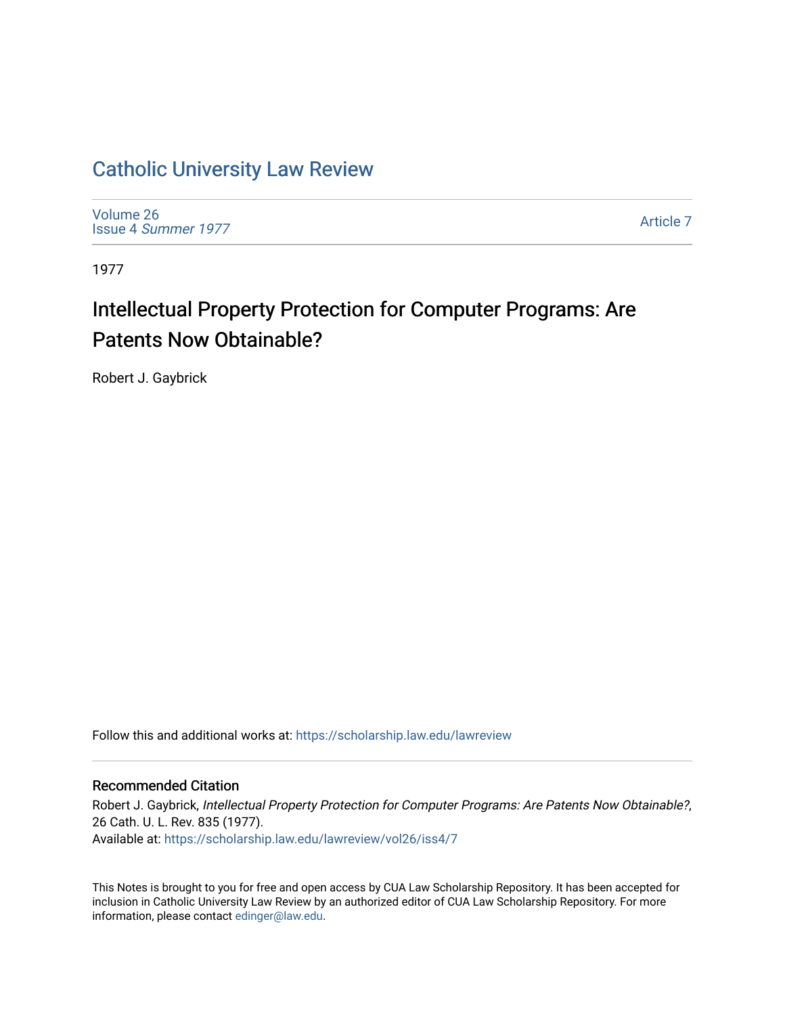## [Catholic University Law Review](https://scholarship.law.edu/lawreview)

[Volume 26](https://scholarship.law.edu/lawreview/vol26) Issue 4 [Summer 1977](https://scholarship.law.edu/lawreview/vol26/iss4) 

[Article 7](https://scholarship.law.edu/lawreview/vol26/iss4/7) 

1977

# Intellectual Property Protection for Computer Programs: Are Patents Now Obtainable?

Robert J. Gaybrick

Follow this and additional works at: [https://scholarship.law.edu/lawreview](https://scholarship.law.edu/lawreview?utm_source=scholarship.law.edu%2Flawreview%2Fvol26%2Fiss4%2F7&utm_medium=PDF&utm_campaign=PDFCoverPages)

#### Recommended Citation

Robert J. Gaybrick, Intellectual Property Protection for Computer Programs: Are Patents Now Obtainable?, 26 Cath. U. L. Rev. 835 (1977). Available at: [https://scholarship.law.edu/lawreview/vol26/iss4/7](https://scholarship.law.edu/lawreview/vol26/iss4/7?utm_source=scholarship.law.edu%2Flawreview%2Fvol26%2Fiss4%2F7&utm_medium=PDF&utm_campaign=PDFCoverPages)

This Notes is brought to you for free and open access by CUA Law Scholarship Repository. It has been accepted for inclusion in Catholic University Law Review by an authorized editor of CUA Law Scholarship Repository. For more information, please contact [edinger@law.edu.](mailto:edinger@law.edu)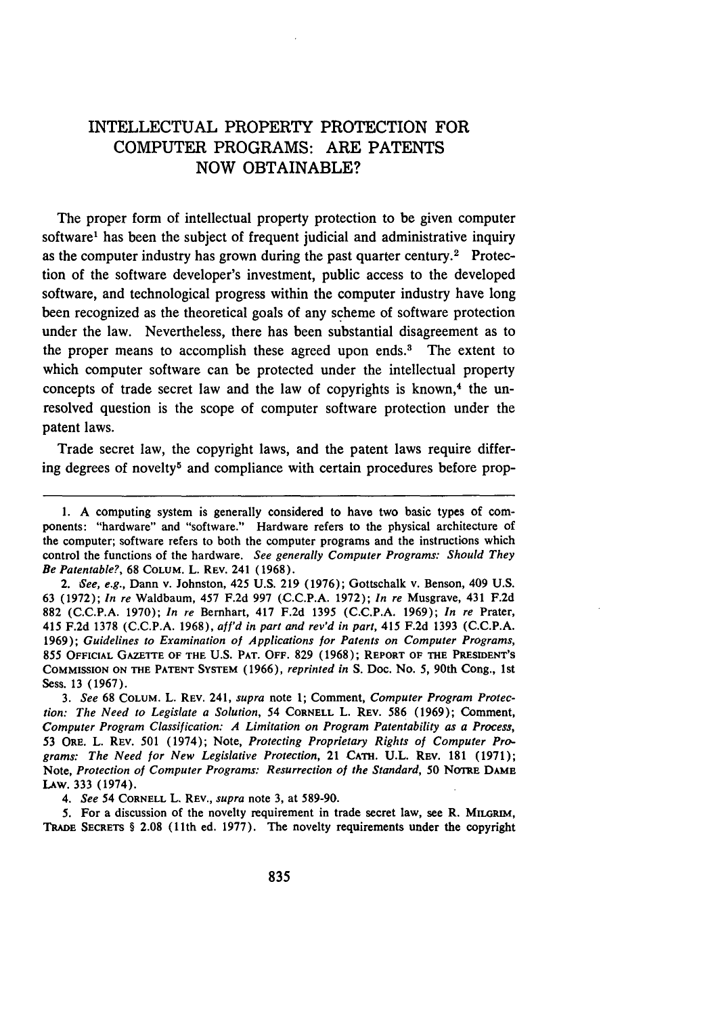### INTELLECTUAL PROPERTY PROTECTION FOR COMPUTER PROGRAMS: ARE PATENTS NOW OBTAINABLE?

The proper form of intellectual property protection to be given computer software<sup>1</sup> has been the subject of frequent judicial and administrative inquiry as the computer industry has grown during the past quarter century.<sup>2</sup> Protection of the software developer's investment, public access to the developed software, and technological progress within the computer industry have long been recognized as the theoretical goals of any scheme of software protection under the law. Nevertheless, there has been substantial disagreement as to the proper means to accomplish these agreed upon ends.<sup>3</sup> The extent to which computer software can be protected under the intellectual property concepts of trade secret law and the law of copyrights is known, $4$  the unresolved question is the scope of computer software protection under the patent laws.

Trade secret law, the copyright laws, and the patent laws require differing degrees of novelty<sup>5</sup> and compliance with certain procedures before prop-

*3. See* **68 COLUM.** L. **REV.** 241, *supra* note **1; Comment,** *Computer Program Protection: The Need to Legislate a Solution,* 54 **CORNELL** L. **REV. 586 (1969);** Comment, *Computer Program Classification: A Limitation on Program Patentability as a Process,* **53 ORE.** L. **REV. 501** (1974); Note, *Protecting Proprietary Rights of Computer Programs: The Need for New Legislative Protection,* 21 **CATH. U.L.** REV. **181 (1971);** Note, *Protection of Computer Programs: Resurrection of the Standard, 50* **NOTRE DAME LAw. 333** (1974).

*4. See* 54 **CORNELL** L. **REV.,** *supra* note **3,** at **589-90.**

5. For a discussion of the novelty requirement in trade secret law, see R. MILGRIM, **TRADE SECRETS** § **2.08** (11th ed. **1977).** The novelty requirements under the copyright

**<sup>1.</sup> A** computing system is generally considered to have two basic types of components: "hardware" and "software." Hardware refers to the physical architecture of the computer; software refers to both the computer programs and the instructions which control the functions of the hardware. *See generally Computer Programs: Should They Be Patentable?,* **68** COLUM. L. REV. 241 **(1968).**

*<sup>2.</sup> See, e.g.,* Dann v. Johnston, 425 **U.S. 219 (1976);** Gottschalk v. Benson, 409 **U.S. 63 (1972);** *In re* Waldbaum, 457 **F.2d 997 (C.C.P.A. 1972);** *In re* Musgrave, 431 **F.2d 882 (C.C.P.A. 1970);** *In re* Bernhart, 417 **F.2d 1395 (C.C.P.A. 1969);** *In re* Prater, 415 **F.2d 1378 (C.C.P.A. 1968),** *aff'd in part and rev'd in part, 415* **F.2d 1393 (C.C.P.A.** 1969); *Guidelines to Examination of Applications for Patents on Computer Programs,* **855** OFFICIAL **GAZETrE OF THE U.S. PAT. OFF. 829 (1968); REPORT OF THE PRESmENT'S COMMISSION ON THE PATENT SYSTEM (1966),** *reprinted in* **S. Doc. No. 5,** 90th **Cong., 1st** Sess. **13 (1967).**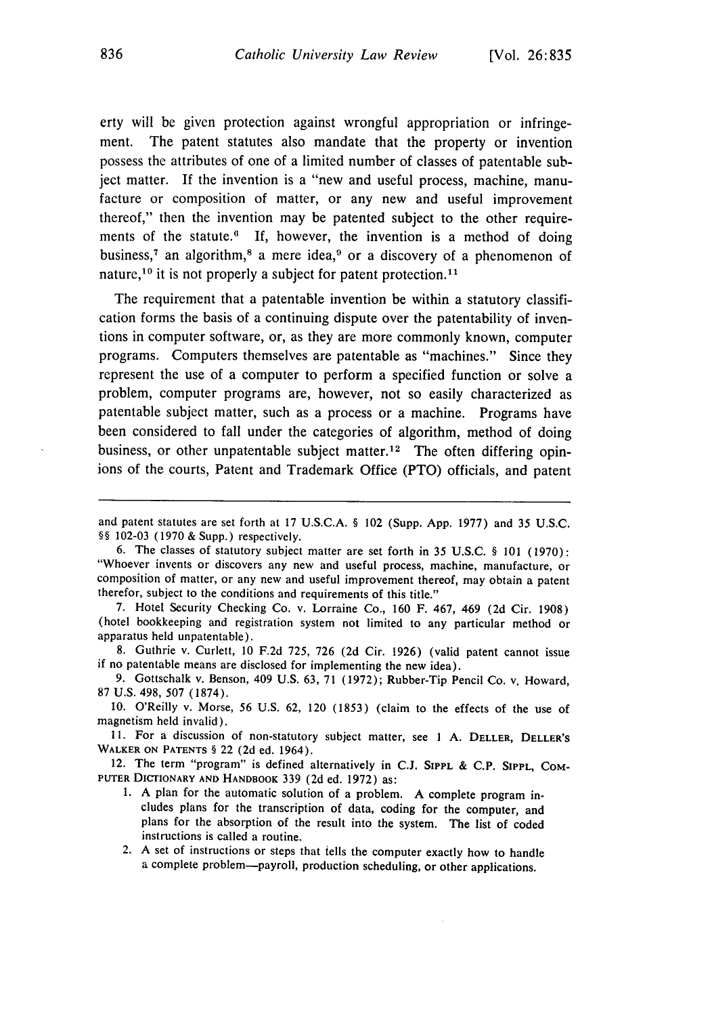erty will be given protection against wrongful appropriation or infringement. The patent statutes also mandate that the property or invention possess the attributes of one of a limited number of classes of patentable subject matter. If the invention is a "new and useful process, machine, manufacture or composition of matter, or any new and useful improvement thereof," then the invention may be patented subject to the other requirements of the statute. $6$  If, however, the invention is a method of doing business,<sup>7</sup> an algorithm,<sup>8</sup> a mere idea,<sup>9</sup> or a discovery of a phenomenon of nature,  $10$  it is not properly a subject for patent protection.  $11$ 

The requirement that a patentable invention be within a statutory classification forms the basis of a continuing dispute over the patentability of inventions in computer software, or, as they are more commonly known, computer programs. Computers themselves are patentable as "machines." Since they represent the use of a computer to perform a specified function or solve a problem, computer programs are, however, not so easily characterized as patentable subject matter, such as a process or a machine. Programs have been considered to fall under the categories of algorithm, method of doing business, or other unpatentable subject matter.<sup>12</sup> The often differing opinions of the courts, Patent and Trademark Office (PTO) officials, and patent

7. Hotel Security Checking Co. v. Lorraine Co., 160 F. 467, 469 (2d Cir. 1908) (hotel bookkeeping and registration system not limited to any particular method or apparatus held unpatentable).

8. Guthrie v. Curlett, 10 F.2d 725, 726 (2d Cir. 1926) (valid patent cannot issue if no patentable means are disclosed for implementing the new idea).

9. Gottschalk v. Benson, 409 U.S. 63, 71 (1972); Rubber-Tip Pencil Co. v. Howard, 87 U.S. 498, 507 (1874).

**10.** O'Reilly v. Morse, 56 U.S. 62, 120 (1853) (claim to the effects of the use of magnetism held invalid).

11. For a discussion of non-statutory subject matter, see **I** A. DELLER, DELLER'S WALKER **ON PATENTS** § 22 (2d ed. 1964).

12. The term "program" is defined alternatively in C.J. **SIPPL** & C.P. **SIPPL,** COM-PUTER DICTIONARY **AND** HANDBOOK 339 (2d ed. 1972) as:

- 1. A plan for the automatic solution of a problem. **A** complete program includes plans for the transcription of data, coding for the computer, and plans for the absorption of the result into the system. The list of coded instructions is called a routine.
- 2. A set of instructions or steps that tells the computer exactly how to handle a complete problem-payroll, production scheduling, or other applications.

and patent statutes are set forth at 17 U.S.C.A. § 102 (Supp. App. 1977) and 35 U.S.C. §§ 102-03 (1970 & Supp.) respectively.

<sup>6.</sup> The classes of statutory subject matter are set forth in 35 U.S.C. § 101 (1970): "Whoever invents or discovers any new and useful process, machine, manufacture, or composition of matter, or any new and useful improvement thereof, may obtain a patent therefor, subject to the conditions and requirements of this title."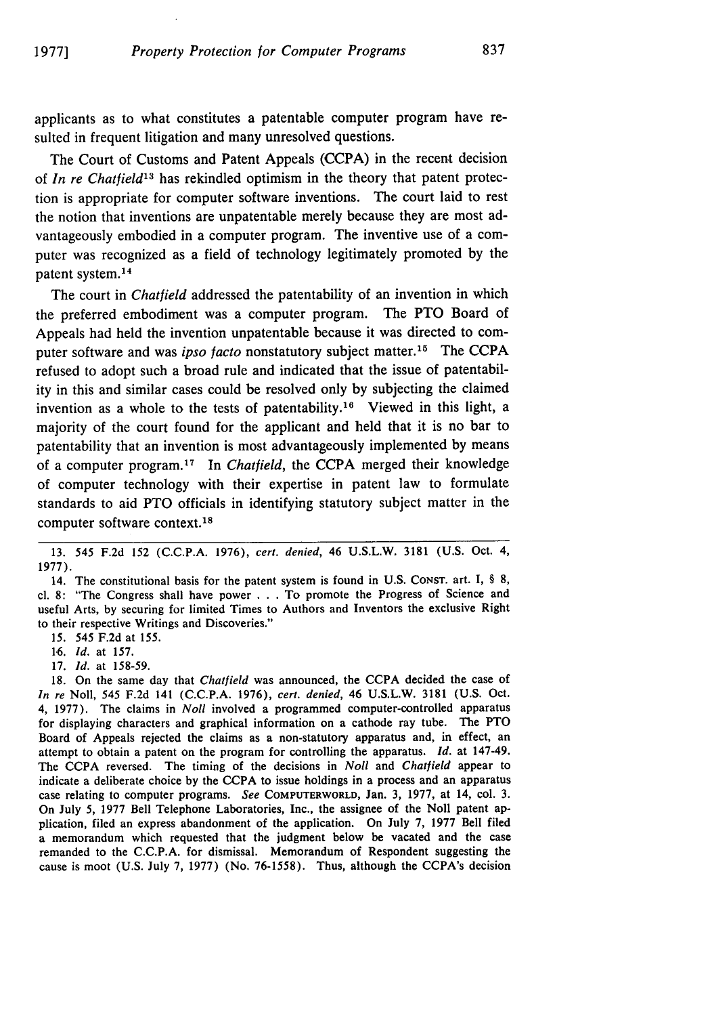applicants as to what constitutes a patentable computer program have resulted in frequent litigation and many unresolved questions.

The Court of Customs and Patent Appeals (CCPA) in the recent decision of *In re Chatfield13* has rekindled optimism in the theory that patent protection is appropriate for computer software inventions. The court laid to rest the notion that inventions are unpatentable merely because they are most advantageously embodied in a computer program. The inventive use of a computer was recognized as a field of technology legitimately promoted by the patent system. <sup>14</sup>

The court in *Chatfield* addressed the patentability of an invention in which the preferred embodiment was a computer program. The PTO Board of Appeals had held the invention unpatentable because it was directed to computer software and was *ipso facto* nonstatutory subject matter.15 The CCPA refused to adopt such a broad rule and indicated that the issue of patentability in this and similar cases could be resolved only by subjecting the claimed invention as a whole to the tests of patentability.<sup>16</sup> Viewed in this light, a majority of the court found for the applicant and held that it is no bar to patentability that an invention is most advantageously implemented by means of a computer program.<sup>17</sup> In *Chatfield*, the CCPA merged their knowledge of computer technology with their expertise in patent law to formulate standards to aid PTO officials in identifying statutory subject matter in the computer software context.<sup>18</sup>

15. 545 F.2d at 155.

16. *Id.* at 157.

17. **Id.** at 158-59.

18. On the same day that Chatfield was announced, the CCPA decided the case of In re Noll, 545 F.2d 141 (C.C.P.A. 1976), cert. denied, 46 U.S.L.W. 3181 (U.S. Oct. 4, 1977). The claims in *Noll* involved a programmed computer-controlled apparatus for displaying characters and graphical information on a cathode ray tube. The PTO Board of Appeals rejected the claims as a non-statutory apparatus and, in effect, an attempt to obtain a patent on the program for controlling the apparatus. *Id.* at 147-49. The CCPA reversed. The timing of the decisions in *Noll* and Chatfield appear to indicate a deliberate choice by the CCPA to issue holdings in a process and an apparatus case relating to computer programs. *See* COMPUTERWORLD, Jan. 3, 1977, at 14, col. 3. On July 5, 1977 Bell Telephone Laboratories, Inc., the assignee of the Noll patent application, filed an express abandonment of the application. On July 7, 1977 Bell filed a memorandum which requested that the judgment below be vacated and the case remanded to the C.C.P.A. for dismissal. Memorandum of Respondent suggesting the cause is moot (U.S. July 7, 1977) (No. 76-1558). Thus, although the CCPA's decision

<sup>13. 545</sup> F.2d 152 (C.C.P.A. 1976), cert. denied, 46 U.S.L.W. 3181 (U.S. Oct. 4, 1977).

<sup>14.</sup> The constitutional basis for the patent system is found in U.S. CONST. art. I, § 8, cl. 8: "The Congress shall have power . **.** . To promote the Progress of Science and useful Arts, by securing for limited Times to Authors and Inventors the exclusive Right to their respective Writings and Discoveries."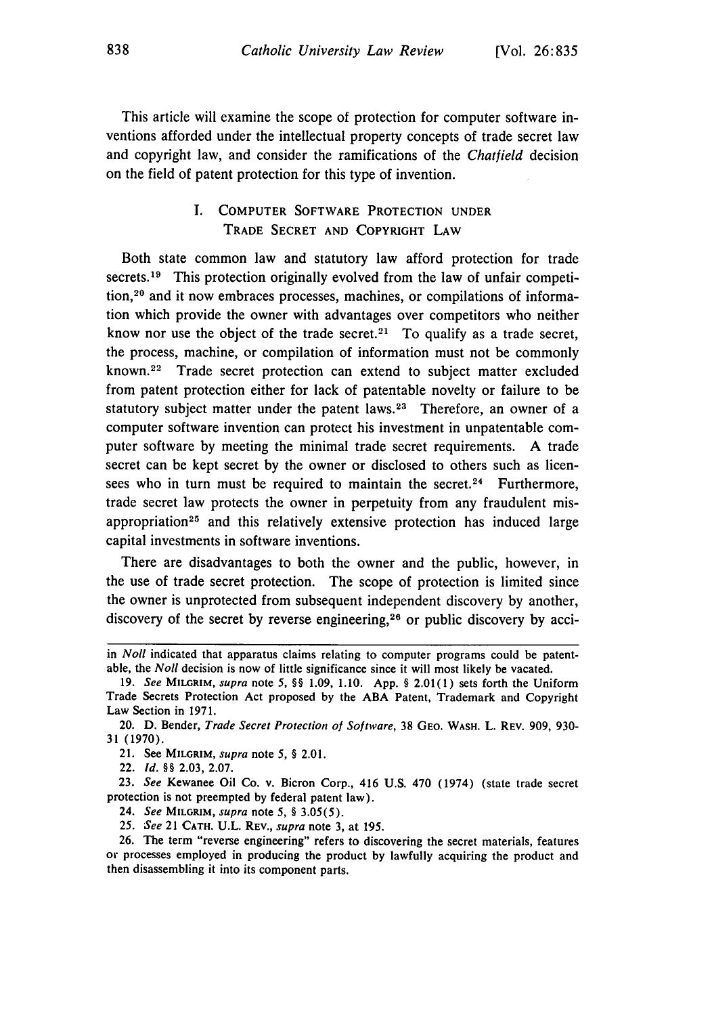This article will examine the scope of protection for computer software inventions afforded under the intellectual property concepts of trade secret law and copyright law, and consider the ramifications of the *Chatfield* decision on the field of patent protection for this type of invention.

#### I. COMPUTER SOFTWARE PROTECTION **UNDER TRADE** SECRET **AND** COPYRIGHT **LAW**

Both state common law and statutory law afford protection for trade secrets.<sup>19</sup> This protection originally evolved from the law of unfair competition, 20 and it now embraces processes, machines, or compilations of information which provide the owner with advantages over competitors who neither know nor use the object of the trade secret.<sup>21</sup> To qualify as a trade secret, the process, machine, or compilation of information must not be commonly known.<sup>22</sup> Trade secret protection can extend to subject matter excluded from patent protection either for lack of patentable novelty or failure to be statutory subject matter under the patent laws.<sup>23</sup> Therefore, an owner of a computer software invention can protect his investment in unpatentable computer software **by** meeting the minimal trade secret requirements. A trade secret can be kept secret **by** the owner or disclosed to others such as licensees who in turn must be required to maintain the secret.<sup>24</sup> Furthermore, trade secret law protects the owner in perpetuity from any fraudulent misappropriation<sup>25</sup> and this relatively extensive protection has induced large capital investments in software inventions.

There are disadvantages to both the owner and the public, however, in the use of trade secret protection. The scope of protection is limited since the owner is unprotected from subsequent independent discovery by another, discovery of the secret by reverse engineering,26 or public discovery **by** acci-

22. *Id. §§* 2.03, 2.07.

23. *See* Kewanee Oil Co. v. Bicron Corp., 416 U.S. 470 (1974) (state trade secret protection is not preempted by federal patent law).

24. *See* **MILGRIM,** *supra* note 5, *§* 3.05(5).

*25. See* 21 **CATH. U.L.** REV., *supra* note 3, at 195.

in *Noll* indicated that apparatus claims relating to computer programs could be patentable, the *Noll* decision is now of little significance since it will most likely be vacated.

<sup>19.</sup> *See* **MILGRIM,** *supra* note 5, §§ 1.09, 1.10. App. § 2.01(1) sets forth the Uniform Trade Secrets Protection Act proposed **by** the **ABA** Patent, Trademark and Copyright Law Section in 1971.

<sup>20.</sup> **D.** Bender, *Trade Secret Protection of Software,* **38** GEO. **WASH.** L. REV. 909, **930-** 31 (1970).

<sup>21.</sup> See **MILGRIM,** *supra* note 5, § 2.01.

<sup>26.</sup> The term "reverse engineering" refers to discovering the secret materials, features or processes employed in producing the product by lawfully acquiring the product and then disassembling it into its component parts.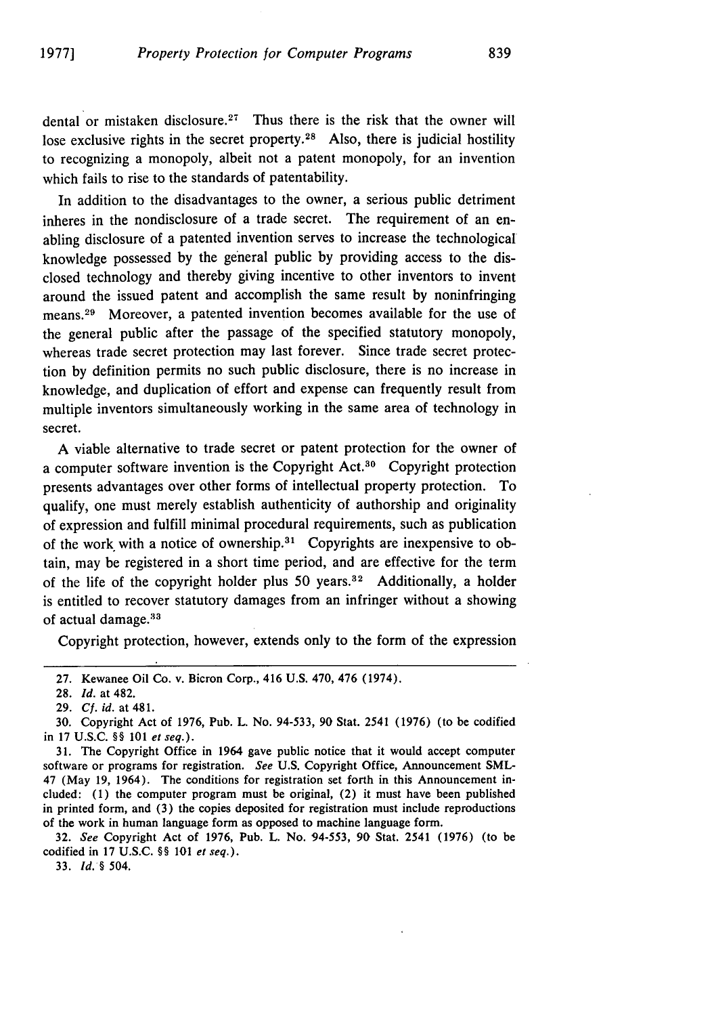dental or mistaken disclosure.<sup>27</sup> Thus there is the risk that the owner will lose exclusive rights in the secret property.<sup>28</sup> Also, there is judicial hostility to recognizing a monopoly, albeit not a patent monopoly, for an invention which fails to rise to the standards of patentability.

In addition to the disadvantages to the owner, a serious public detriment inheres in the nondisclosure of a trade secret. The requirement of an enabling disclosure of a patented invention serves to increase the technological knowledge possessed by the general public by providing access to the disclosed technology and thereby giving incentive to other inventors to invent around the issued patent and accomplish the same result by noninfringing means. 29 Moreover, a patented invention becomes available for the use of the general public after the passage of the specified statutory monopoly, whereas trade secret protection may last forever. Since trade secret protection by definition permits no such public disclosure, there is no increase in knowledge, and duplication of effort and expense can frequently result from multiple inventors simultaneously working in the same area of technology in secret.

A viable alternative to trade secret or patent protection for the owner of a computer software invention is the Copyright **Act.3 <sup>0</sup>**Copyright protection presents advantages over other forms of intellectual property protection. To qualify, one must merely establish authenticity of authorship and originality of expression and fulfill minimal procedural requirements, such as publication of the work with a notice of ownership. $31$  Copyrights are inexpensive to obtain, may be registered in a short time period, and are effective for the term of the life of the copyright holder plus 50 years.<sup>32</sup> Additionally, a holder is entitled to recover statutory damages from an infringer without a showing of actual damage.<sup>33</sup>

Copyright protection, however, extends only to the form of the expression

31. The Copyright Office in 1964 gave public notice that it would accept computer software or programs for registration. *See* U.S. Copyright Office, Announcement SML-47 (May 19, 1964). The conditions for registration set forth in this Announcement included: (1) the computer program must be original, (2) it must have been published in printed form, and (3) the copies deposited for registration must include reproductions of the work in human language form as opposed to machine language form.

32. *See* Copyright Act of 1976, Pub. L. No. 94-553, 90 Stat. 2541 (1976) (to be codified in 17 U.S.C. §§ 101 *et seq.).*

**33.** *Id. §* 504.

<sup>27.</sup> Kewanee Oil Co. v. Bicron Corp., 416 U.S. 470, 476 (1974).

<sup>28.</sup> *Id.* at 482.

<sup>29.</sup> **Cf.** id. at 481.

<sup>30.</sup> Copyright Act of 1976, Pub. L. No. 94-533, 90 Stat. 2541 (1976) (to be codified in 17 U.S.C. §§ 101 *et seq.).*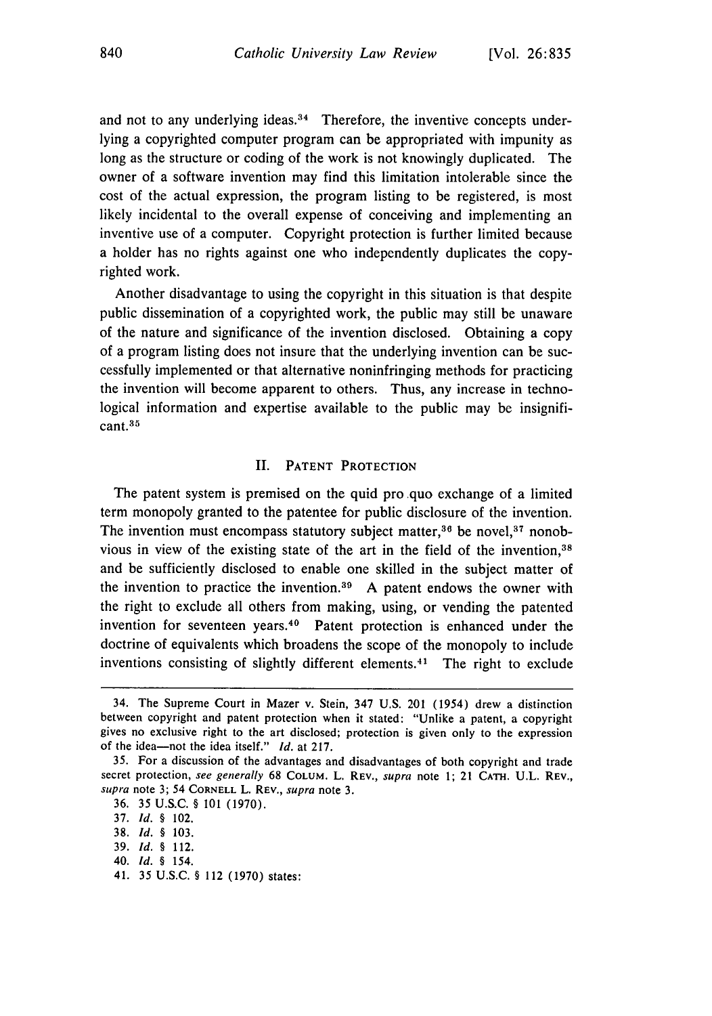and not to any underlying ideas. $34$  Therefore, the inventive concepts underlying a copyrighted computer program can be appropriated with impunity as long as the structure or coding of the work is not knowingly duplicated. The owner of a software invention may find this limitation intolerable since the cost of the actual expression, the program listing to be registered, is most likely incidental to the overall expense of conceiving and implementing an inventive use of a computer. Copyright protection is further limited because a holder has no rights against one who independently duplicates the copyrighted work.

Another disadvantage to using the copyright in this situation is that despite public dissemination of a copyrighted work, the public may still be unaware of the nature and significance of the invention disclosed. Obtaining a copy of a program listing does not insure that the underlying invention can be successfully implemented or that alternative noninfringing methods for practicing the invention will become apparent to others. Thus, any increase in technological information and expertise available to the public may be insignificant.<sup>35</sup>

#### **II.** PATENT PROTECTION

The patent system is premised on the quid pro quo exchange of a limited term monopoly granted to the patentee for public disclosure of the invention. The invention must encompass statutory subject matter,  $36$  be novel,  $37$  nonobvious in view of the existing state of the art in the field of the invention,38 and be sufficiently disclosed to enable one skilled in the subject matter of the invention to practice the invention.<sup>39</sup> A patent endows the owner with the right to exclude all others from making, using, or vending the patented invention for seventeen years.40 Patent protection is enhanced under the doctrine of equivalents which broadens the scope of the monopoly to include inventions consisting of slightly different elements.<sup>41</sup> The right to exclude

41. 35 U.S.C. § 112 (1970) states:

<sup>34.</sup> The Supreme Court in Mazer v. Stein, 347 U.S. 201 (1954) drew a distinction between copyright and patent protection when it stated: "Unlike a patent, a copyright gives no exclusive right to the art disclosed; protection is given only to the expression of the idea-not the idea itself." *Id.* at 217.

<sup>35.</sup> For a discussion of the advantages and disadvantages of both copyright and trade secret protection, see generally 68 COLUM. L. REV., supra note 1; 21 CATH. U.L. REV., supra note 3; 54 **CORNELL** L. REv., supra note 3.

<sup>36.</sup> **35** U.S.C. § **l01** (1970).

<sup>37.</sup> *Id. §* 102.

<sup>38.</sup> *Id. §* 103.

<sup>39.</sup> *Id. §* 112.

<sup>40.</sup> *Id. §* 154.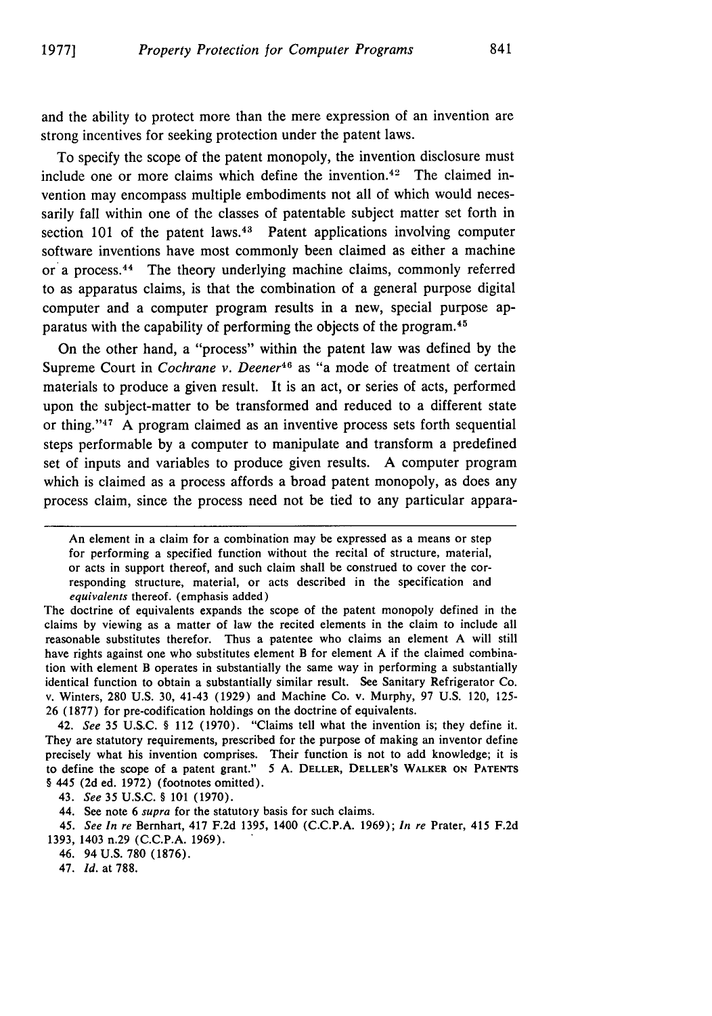and the ability to protect more than the mere expression of an invention are strong incentives for seeking protection under the patent laws.

To specify the scope of the patent monopoly, the invention disclosure must include one or more claims which define the invention. 42 The claimed invention may encompass multiple embodiments not all of which would necessarily fall within one of the classes of patentable subject matter set forth in section 101 of the patent laws. $43$  Patent applications involving computer software inventions have most commonly been claimed as either a machine or a process. 44 The theory underlying machine claims, commonly referred to as apparatus claims, is that the combination of a general purpose digital computer and a computer program results in a new, special purpose apparatus with the capability of performing the objects of the program. <sup>45</sup>

On the other hand, a "process" within the patent law was defined by the Supreme Court in *Cochrane v. Deener46* as "a mode of treatment of certain materials to produce a given result. It is an act, or series of acts, performed upon the subject-matter to be transformed and reduced to a different state or thing."<sup>47</sup> A program claimed as an inventive process sets forth sequential steps performable by a computer to manipulate and transform a predefined set of inputs and variables to produce given results. A computer program which is claimed as a process affords a broad patent monopoly, as does any process claim, since the process need not be tied to any particular appara-

42. *See* 35 U.S.C. § 112 (1970). "Claims tell what the invention is; they define it. They are statutory requirements, prescribed for the purpose of making an inventor define precisely what his invention comprises. Their function is not to add knowledge; it is to define the scope of a patent grant." **5** A. DELLER, DELLER'S WALKER **ON PATENTS** § 445 (2d ed. 1972) (footnotes omitted).

43. *See* **35** U.S.C. § 101 (1970).

44. See note 6 *supra* for the statutory basis for such claims.

45. *See In re* Bernhart, 417 F.2d 1395, 1400 (C.C.P.A. 1969); *In re* Prater, 415 F.2d 1393, 1403 n.29 (C.C.P.A. 1969).

46. 94 U.S. 780 (1876).

47. *Id.* at 788.

An element in a claim for a combination may be expressed as a means or step for performing a specified function without the recital of structure, material, or acts in support thereof, and such claim shall be construed to cover the corresponding structure, material, or acts described in the specification and *equivalents* thereof. (emphasis added)

The doctrine of equivalents expands the scope of the patent monopoly defined in the claims by viewing as a matter of law the recited elements in the claim to include all reasonable substitutes therefor. Thus a patentee who claims an element A will still have rights against one who substitutes element B for element A if the claimed combination with element B operates in substantially the same way in performing a substantially identical function to obtain a substantially similar result. See Sanitary Refrigerator Co. v. Winters, 280 U.S. 30, 41-43 (1929) and Machine Co. v. Murphy, 97 U.S. 120, 125- 26 (1877) for pre-codification holdings on the doctrine of equivalents.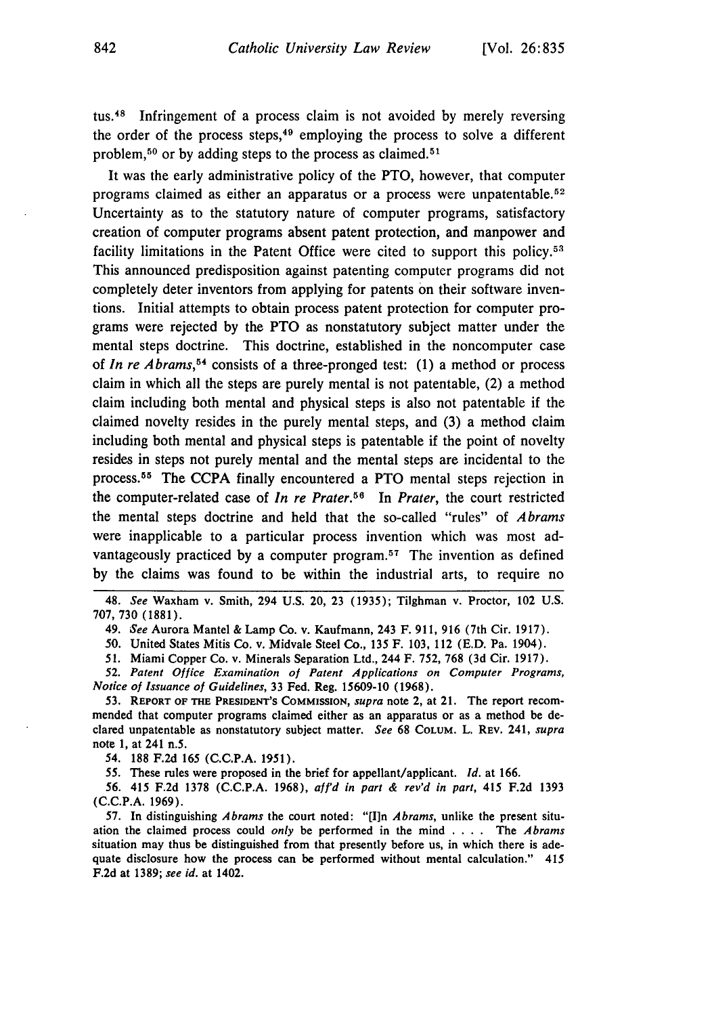tus.48 Infringement of a process claim is not avoided by merely reversing the order of the process steps, $49$  employing the process to solve a different problem,<sup>50</sup> or by adding steps to the process as claimed.<sup>51</sup>

It was the early administrative policy of the PTO, however, that computer programs claimed as either an apparatus or a process were unpatentable. <sup>52</sup> Uncertainty as to the statutory nature of computer programs, satisfactory creation of computer programs absent patent protection, and manpower and facility limitations in the Patent Office were cited to support this policy.<sup>53</sup> This announced predisposition against patenting computer programs did not completely deter inventors from applying for patents on their software inventions. Initial attempts to obtain process patent protection for computer programs were rejected by the PTO as nonstatutory subject matter under the mental steps doctrine. This doctrine, established in the noncomputer case of *In re Abrams,54* consists of a three-pronged test: (1) a method or process claim in which all the steps are purely mental is not patentable, (2) a method claim including both mental and physical steps is also not patentable if the claimed novelty resides in the purely mental steps, and (3) a method claim including both mental and physical steps is patentable if the point of novelty resides in steps not purely mental and the mental steps are incidental to the process. 55 The CCPA finally encountered a PTO mental steps rejection in the computer-related case of *In re Prater*.<sup>56</sup> In *Prater*, the court restricted the mental steps doctrine and held that the so-called "rules" of *Abrams* were inapplicable to a particular process invention which was most advantageously practiced by a computer program.<sup>57</sup> The invention as defined by the claims was found to be within the industrial arts, to require no

48. *See* Waxham v. Smith, 294 U.S. 20, 23 (1935); Tilghman v. Proctor, 102 U.S. 707, 730 (1881).

49. *See* Aurora Mantel **&** Lamp Co. v. Kaufmann, 243 F. **911, 916** (7th Cir. **1917).**

*50.* United States Mitis Co. v. Midvale Steel Co., **135** F. **103,** 112 **(E.D.** Pa. 1904).

**51.** Miami Copper Co. v. Minerals Separation Ltd., 244 F. **752, 768 (3d** Cir. **1917).**

*52. Patent Office Examination* **of Patent** *Applications on Computer Programs, Notice of Issuance of Guidelines,* **33** Fed. Reg. **15609-10 (1968).**

**53. REPORT OF THE PRESIDENT'S COMMISSION,** *supra* note 2, at 21. The report recommended that computer programs claimed either as an apparatus or as a method be declared unpatentable as nonstatutory subject matter. *See* **68** COLUM. L. REV. 241, *supra* note **1,** at 241 n.5.

54. **188 F.2d 165 (C.C.P.A. 1951).**

**55.** These rules were proposed in the brief for appellant/applicant. *Id.* at **166.**

**56.** 415 **F.2d 1378 (C.C.P.A. 1968),** aff'd *in part & rev'd in part,* 415 **F.2d 1393 (C.C.P.A. 1969).**

57. In distinguishing *Abrams* the court noted: "[I]n *Abrams*, unlike the present situation the claimed process could **only** be performed in the mind . **. .** . The *Abrams* situation may thus be distinguished from that presently before us, in which there is adequate disclosure how the process can be performed without mental calculation." 415 **F.2d** at **1389;** *see id.* at 1402.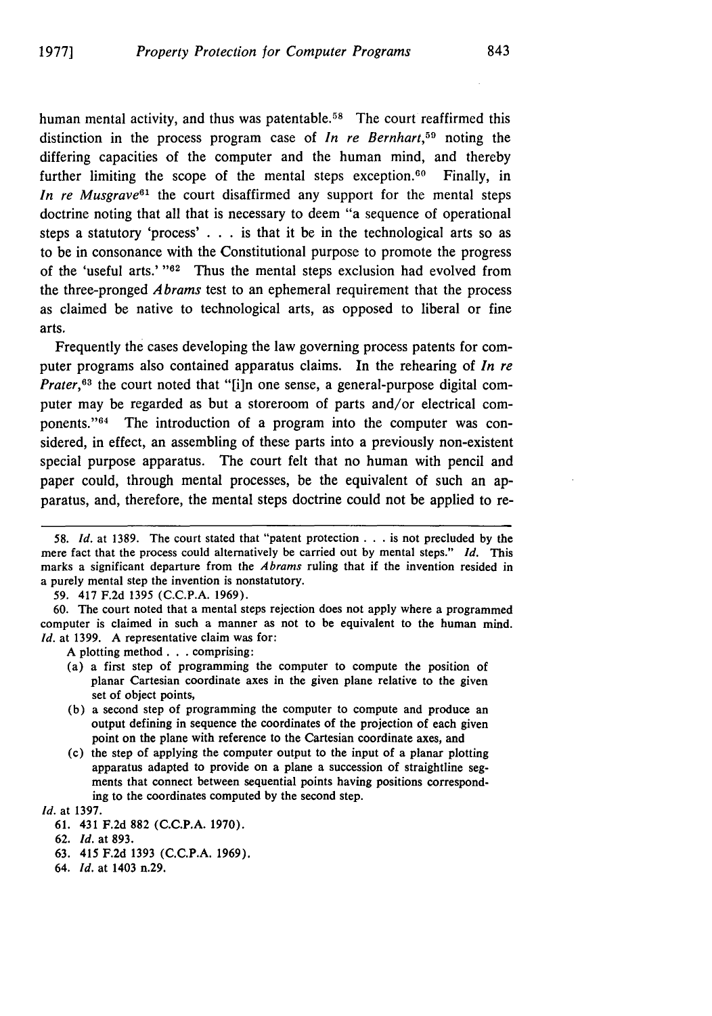human mental activity, and thus was patentable.<sup>58</sup> The court reaffirmed this distinction in the process program case of *In re Bernhart*,<sup>59</sup> noting the differing capacities of the computer and the human mind, and thereby further limiting the scope of the mental steps exception.<sup>60</sup> Finally, in *In re Musgrave*<sup>61</sup> the court disaffirmed any support for the mental steps doctrine noting that all that is necessary to deem "a sequence of operational steps a statutory 'process' . . . is that it be in the technological arts so as to be in consonance with the Constitutional purpose to promote the progress of the 'useful arts.' "<sup>62</sup> Thus the mental steps exclusion had evolved from the three-pronged *Abrams* test to an ephemeral requirement that the process as claimed be native to technological arts, as opposed to liberal or fine arts.

Frequently the cases developing the law governing process patents for computer programs also contained apparatus claims. In the rehearing of *In re Prater,*<sup>63</sup> the court noted that "[i]n one sense, a general-purpose digital computer may be regarded as but a storeroom of parts and/or electrical components."<sup>64</sup> The introduction of a program into the computer was considered, in effect, an assembling of these parts into a previously non-existent special purpose apparatus. The court felt that no human with pencil and paper could, through mental processes, be the equivalent of such an apparatus, and, therefore, the mental steps doctrine could not be applied to re-

- (a) a first step of programming the computer to compute the position of planar Cartesian coordinate axes in the given plane relative to the given set of object points,
- (b) a second step of programming the computer to compute and produce an output defining in sequence the coordinates of the projection of each given point on the plane with reference to the Cartesian coordinate axes, and
- (c) the step of applying the computer output to the input of a planar plotting apparatus adapted to provide on a plane a succession of straightline segments that connect between sequential points having positions corresponding to the coordinates computed by the second step.

*Id.* at 1397.

**63.** 415 F.2d 1393 (C.C.P.A. 1969).

*<sup>58.</sup> Id.* at 1389. The court stated that "patent protection **. . .** is not precluded by the mere fact that the process could alternatively be carried out by mental steps." *Id.* This marks a significant departure from the *Abrams* ruling that if the invention resided in a purely mental step the invention is nonstatutory.

<sup>59. 417</sup> F.2d 1395 (C.C.P.A. 1969).

<sup>60.</sup> The court noted that a mental steps rejection does not apply where a programmed computer is claimed in such a manner as not to be equivalent to the human mind. *Id.* at 1399. A representative claim was for:

A plotting method. **. .** comprising:

<sup>61. 431</sup> F.2d 882 (C.C.P.A. 1970).

<sup>62.</sup> *Id.* at 893.

<sup>64.</sup> *Id.* at 1403 n.29.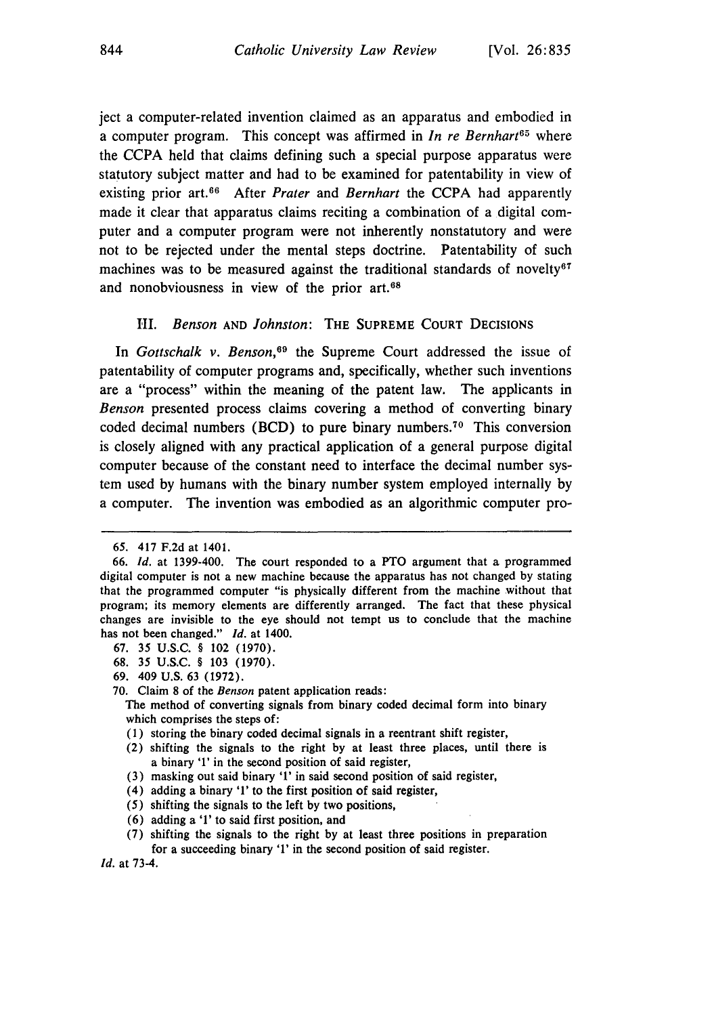ject a computer-related invention claimed as an apparatus and embodied in a computer program. This concept was affirmed in *In re Bernhart65* where the CCPA held that claims defining such a special purpose apparatus were statutory subject matter and had to be examined for patentability in view of existing prior art.66 After *Prater* and *Bernhart* the CCPA had apparently made it clear that apparatus claims reciting a combination of a digital computer and a computer program were not inherently nonstatutory and were not to be rejected under the mental steps doctrine. Patentability of such machines was to be measured against the traditional standards of novelty<sup> $\sigma$ </sup> and nonobviousness in view of the prior art.<sup>68</sup>

#### *III. Benson* AND *Johnston:* THE SUPREME COURT DECISIONS

In *Gottschalk v. Benson,69* the Supreme Court addressed the issue of patentability of computer programs and, specifically, whether such inventions are a "process" within the meaning of the patent law. The applicants in *Benson* presented process claims covering a method of converting binary coded decimal numbers (BCD) to pure binary numbers. 70 This conversion is closely aligned with any practical application of a general purpose digital computer because of the constant need to interface the decimal number system used by humans with the binary number system employed internally by a computer. The invention was embodied as an algorithmic computer pro-

- **67.** 35 U.S.C. § 102 (1970).
- 68. 35 U.S.C. § 103 (1970).
- 69. 409 U.S. 63 (1972).

- (1) storing the binary coded decimal signals in a reentrant shift register,
- (2) shifting the signals to the right by at least three places, until there is a binary '1' in the second position of said register,
- (3) masking out said binary '1' in said second position of said register,
- (4) adding a binary '1' to the first position of said register,
- *(5)* shifting the signals to the left by two positions,
- (6) adding a '1' to said first position, and
- (7) shifting the signals to the right by at least three positions in preparation for a succeeding binary **'1'** in the second position of said register.

*Id.* at 73-4.

**<sup>65.</sup>** 417 F.2d at 1401.

**<sup>66.</sup>** *Id.* at 1399-400. The court responded to a PTO argument that a programmed digital computer is not a new machine because the apparatus has not changed by stating that the programmed computer "is physically different from the machine without that program; its memory elements are differently arranged. The fact that these physical changes are invisible to the eye should not tempt us to conclude that the machine has not been changed." *Id.* at 1400.

<sup>70.</sup> Claim 8 of the *Benson* patent application reads:

The method of converting signals from binary coded decimal form into binary which comprises the steps of: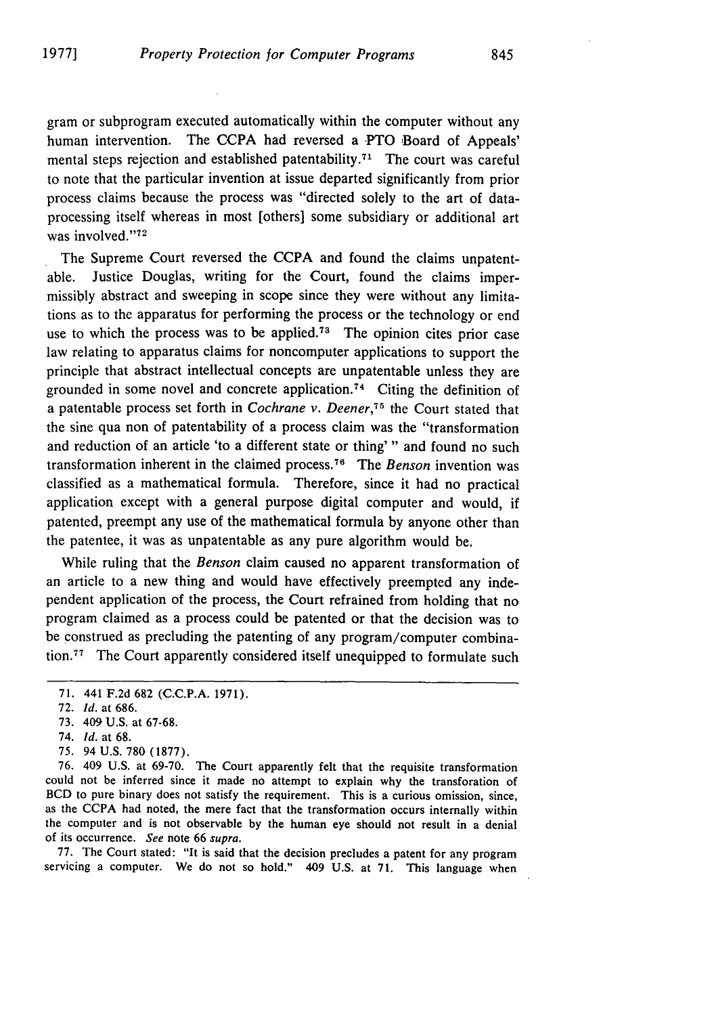gram or subprogram executed automatically within the computer without any human intervention. The CCPA had reversed a PTO Board of Appeals' mental steps rejection and established patentability.<sup> $71$ </sup> The court was careful to note that the particular invention at issue departed significantly from prior process claims because the process was "directed solely to the art of dataprocessing itself whereas in most [others] some subsidiary or additional art was involved."<sup>72</sup>

The Supreme Court reversed the CCPA and found the claims unpatentable. Justice Douglas, writing for the Court, found the claims impermissibly abstract and sweeping in scope since they were without any limitations as to the apparatus for performing the process or the technology or end use to which the process was to be applied.<sup>73</sup> The opinion cites prior case law relating to apparatus claims for noncomputer applications to support the principle that abstract intellectual concepts are unpatentable unless they are grounded in some novel and concrete application.<sup>74</sup> Citing the definition of a patentable process set forth in *Cochrane v. Deener*,<sup>75</sup> the Court stated that the sine qua non of patentability of a process claim was the "transformation and reduction of an article 'to a different state or thing' " and found no such transformation inherent in the claimed process.7 " The *Benson* invention was classified as a mathematical formula. Therefore, since it had no practical application except with a general purpose digital computer and would, if patented, preempt any use of the mathematical formula by anyone other than the patentee, it was as unpatentable as any pure algorithm would be.

While ruling that the *Benson* claim caused no apparent transformation of an article to a new thing and would have effectively preempted any independent application of the process, the Court refrained from holding that no program claimed as a process could be patented or that the decision was to be construed as precluding the patenting of any program/computer combination.<sup>77</sup> The Court apparently considered itself unequipped to formulate such

- 74. *Id.* at 68.
- 75. 94 **U.S. 780 (1877).**

76. 409 U.S. at **69-70.** The Court apparently felt that the requisite transformation could not be inferred since it made no attempt to explain why the transforation of BCD to pure binary does not satisfy the requirement. This is a curious omission, since, as the CCPA had noted, the mere fact that the transformation occurs internally within the computer and is not observable **by** the human eye should not result in a denial of its occurrence. *See* note **66** *supra.*

77. The Court stated: "It is said that the decision precludes a patent for any program servicing a computer. We do not so hold." 409 **U.S.** at **71.** This language when

<sup>71. 441</sup> F.2d **682 (C.C.P.A. 1971).**

<sup>72.</sup> *Id.* at 686.

<sup>73. 409</sup> U.S. at 67-68.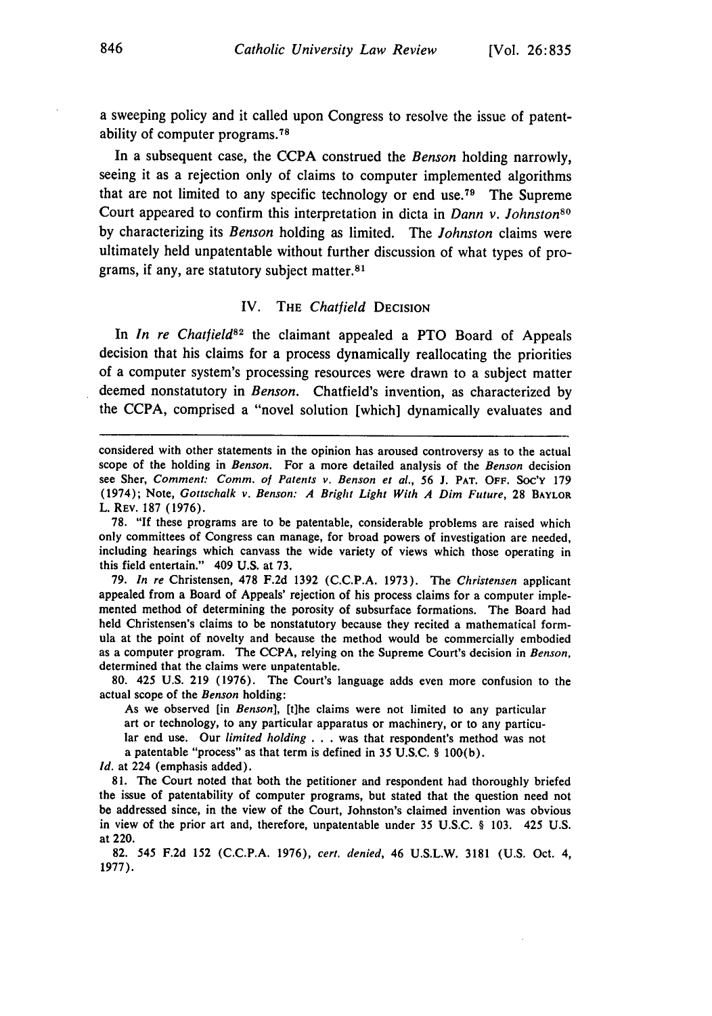a sweeping **policy** and it called upon Congress to resolve the issue of patentability of computer programs. <sup>78</sup>

In a subsequent case, the **CCPA** construed the *Benson* holding narrowly, seeing it as a rejection only of claims to computer implemented algorithms that are not limited to any specific technology or end use.<sup> $79$ </sup> The Supreme Court appeared to confirm this interpretation in dicta in *Dann v. Johnstons°* **by** characterizing its *Benson* holding as limited. The *Johnston* claims were ultimately held unpatentable without further discussion of what types of programs, if any, are statutory subject matter.81

#### IV. **THE** *Chatfield* **DECISION**

In *In re Chatfield*<sup>82</sup> the claimant appealed a PTO Board of Appeals decision that his claims for a process dynamically reallocating the priorities of a computer system's processing resources were drawn to a subject matter deemed nonstatutory in *Benson.* Chatfield's invention, as characterized **by** the **CCPA,** comprised a "novel solution [which] dynamically evaluates and

79. *In re* Christensen, 478 F.2d 1392 (C.C.P.A. 1973). The *Christensen* applicant appealed from a Board of Appeals' rejection of his process claims for a computer implemented method of determining the porosity of subsurface formations. The Board had held Christensen's claims to be nonstatutory because they recited a mathematical formula at the point of novelty and because the method would be commercially embodied as a computer program. The CCPA, relying on the Supreme Court's decision in *Benson,* determined that the claims were unpatentable.

80. 425 U.S. 219 (1976). The Court's language adds even more confusion to the actual scope of the *Benson* holding:

As we observed [in *Benson],* [t]he claims were not limited to any particular art or technology, to any particular apparatus or machinery, or to any particular end use. Our *limited holding* . . . was that respondent's method was not a patentable "process" as that term is defined in 35 U.S.C. § 100(b).

*Id.* at 224 (emphasis added).

81. The Court noted that both the petitioner and respondent had thoroughly briefed the issue of patentability of computer programs, but stated that the question need not be addressed since, in the view of the Court, Johnston's claimed invention was obvious in view of the prior art and, therefore, unpatentable under 35 U.S.C. § 103. 425 U.S. at 220.

82. 545 F.2d 152 (C.C.P.A. 1976), *cert. denied,* 46 U.S.L.W. 3181 (U.S. Oct. 4, 1977).

considered with other statements in the opinion has aroused controversy as to the actual scope of the holding in *Benson.* For a more detailed analysis of the *Benson* decision see Sher, *Comment: Comm. of Patents v. Benson et al.,* 56 **J.** PAT. OFF. **SOC'Y** <sup>179</sup> (1974); Note, Gottschalk v. *Benson: A Bright Light With A Dim Future,* 28 BAYLOR L. REV. 187 (1976).

<sup>78.</sup> **"If** these programs are to be patentable, considerable problems are raised which only committees of Congress can manage, for broad powers of investigation are needed, including hearings which canvass the wide variety of views which those operating in this field entertain." 409 **U.S.** at **73.**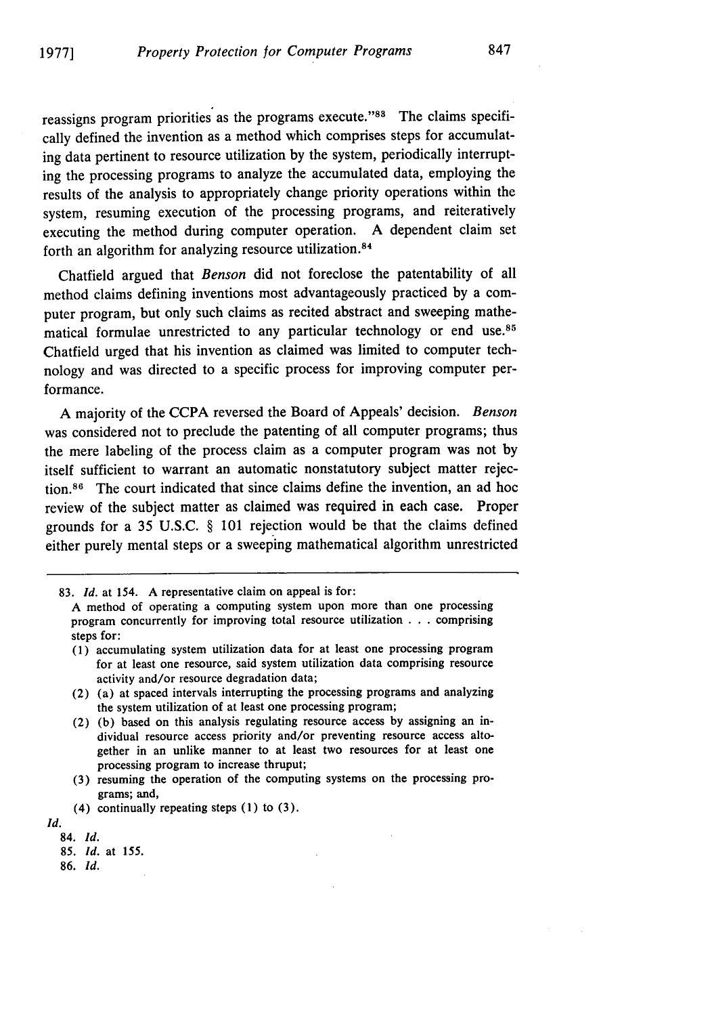reassigns program priorities as the programs execute."<sup>88</sup> The claims specifically defined the invention as a method which comprises steps for accumulating data pertinent to resource utilization by the system, periodically interrupting the processing programs to analyze the accumulated data, employing the results of the analysis to appropriately change priority operations within the system, resuming execution of the processing programs, and reiteratively executing the method during computer operation. A dependent claim set forth an algorithm for analyzing resource utilization.<sup>84</sup>

Chatfield argued that *Benson* did not foreclose the patentability of all method claims defining inventions most advantageously practiced by a computer program, but only such claims as recited abstract and sweeping mathematical formulae unrestricted to any particular technology or end use.<sup>85</sup> Chatfield urged that his invention as claimed was limited to computer technology and was directed to a specific process for improving computer performance.

A majority of the CCPA reversed the Board of Appeals' decision. *Benson* was considered not to preclude the patenting of all computer programs; thus the mere labeling of the process claim as a computer program was not by itself sufficient to warrant an automatic nonstatutory subject matter rejection.<sup>86</sup> The court indicated that since claims define the invention, an ad hoc review of the subject matter as claimed was required in each case. Proper grounds for a 35 U.S.C. § 101 rejection would be that the claims defined either purely mental steps or a sweeping mathematical algorithm unrestricted

- (1) accumulating system utilization data for at least one processing program for at least one resource, said system utilization data comprising resource activity and/or resource degradation data;
- (2) (a) at spaced intervals interrupting the processing programs and analyzing the system utilization of at least one processing program;
- (2) **(b)** based on this analysis regulating resource access **by** assigning an individual resource access priority and/or preventing resource access altogether in an unlike manner to at least two resources for at least one processing program to increase thruput;
- (3) resuming the operation of the computing systems on the processing programs; and,
- (4) continually repeating steps (1) to (3).

**Id.**

<sup>83.</sup> *id.* at 154. A representative claim on appeal is for:

A method of operating a computing system upon more than one processing program concurrently for improving total resource utilization . . . comprising steps for:

<sup>84.</sup> *Id. 85. Id.* at 155.

<sup>86.</sup> *Id.*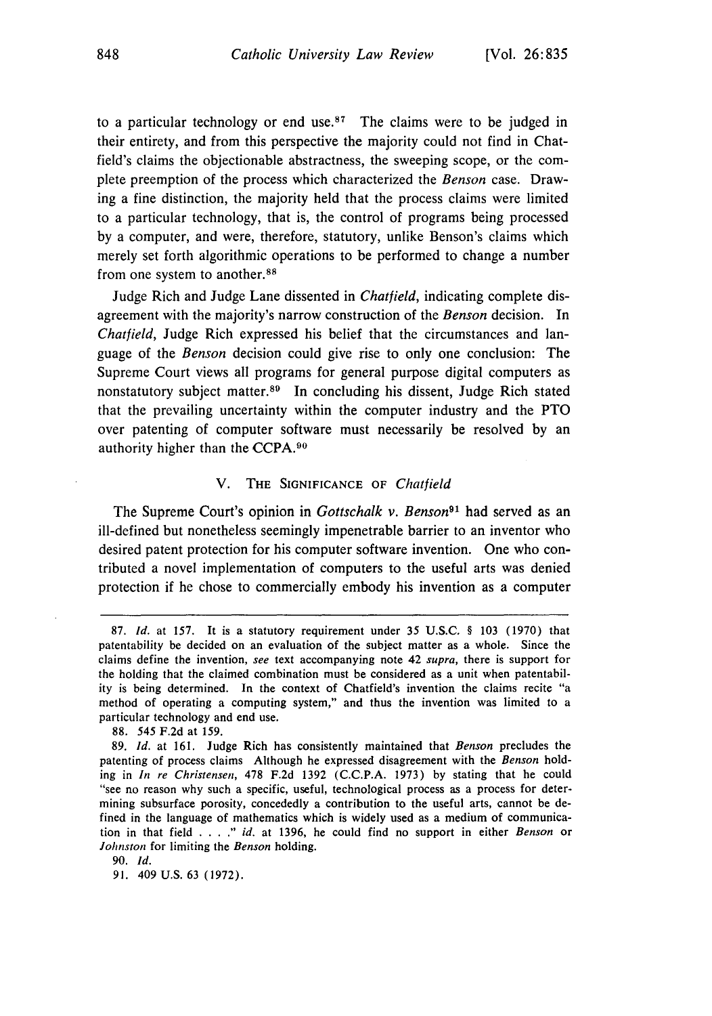to a particular technology or end use.<sup>87</sup> The claims were to be judged in their entirety, and from this perspective the majority could not find in Chatfield's claims the objectionable abstractness, the sweeping scope, or the complete preemption of the process which characterized the *Benson* case. Drawing a fine distinction, the majority held that the process claims were limited to a particular technology, that is, the control of programs being processed by a computer, and were, therefore, statutory, unlike Benson's claims which merely set forth algorithmic operations to be performed to change a number from one system to another. <sup>88</sup>

Judge Rich and Judge Lane dissented in *Chatfield,* indicating complete disagreement with the majority's narrow construction of the *Benson* decision. In *Chatfield,* Judge Rich expressed his belief that the circumstances and language of the *Benson* decision could give rise to only one conclusion: The Supreme Court views all programs for general purpose digital computers as nonstatutory subject matter.89 In concluding his dissent, Judge Rich stated that the prevailing uncertainty within the computer industry and the PTO over patenting of computer software must necessarily be resolved by an authority higher than the **CCPA.<sup>90</sup>**

#### V. THE **SIGNIFICANCE** OF *Chatfield*

The Supreme Court's opinion in *Gottschalk v. Benson*<sup>91</sup> had served as an ill-defined but nonetheless seemingly impenetrable barrier to an inventor who desired patent protection for his computer software invention. One who contributed a novel implementation of computers to the useful arts was denied protection if he chose to commercially embody his invention as a computer

<sup>87.</sup> Id. at 157. It is a statutory requirement under 35 **U.S.C. § 103 (1970)** that patentability be decided on an evaluation of the subject matter as a whole. Since the claims define the invention, *see* text accompanying note 42 *supra,* there is support for the holding that the claimed combination must be considered as a unit when patentability is being determined. In the context of Chatfield's invention the claims recite "a method of operating a computing system," and thus the invention was limited to a particular technology and end use.

<sup>88.</sup> 545 F.2d at 159.

<sup>89.</sup> Id. at 161. Judge Rich has consistently maintained that Benson precludes the patenting of process claims Although he expressed disagreement with the Benson holding in In re Christensen, **478 F.2d** 1392 (C.C.P.A. 1973) by stating that he could "see no reason why such a specific, useful, technological process as a process for determining subsurface porosity, concededly a contribution to the useful arts, cannot be defined in the language of mathematics which is widely used as a medium of communication in that field .... *."* id. at 1396, he could find no support in either Benson or *Johnston* for limiting the *Benson* holding.

<sup>90.</sup> *Id.*

<sup>91. 409</sup> U.S. 63 (1972).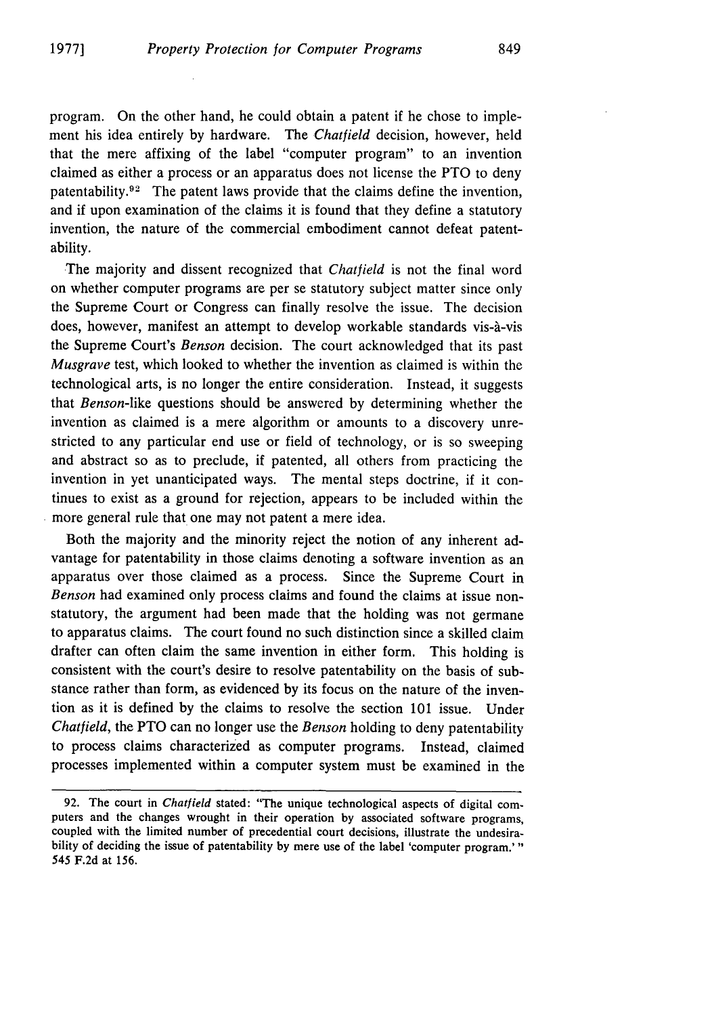program. On the other hand, he could obtain a patent if he chose to implement his idea entirely by hardware. The *Chatfield* decision, however, held that the mere affixing of the label "computer program" to an invention claimed as either a process or an apparatus does not license the PTO to deny patentability. $92$  The patent laws provide that the claims define the invention, and if upon examination of the claims it is found that they define a statutory invention, the nature of the commercial embodiment cannot defeat patentability.

The majority and dissent recognized that *Chatfield* is not the final word on whether computer programs are per se statutory subject matter since only the Supreme Court or Congress can finally resolve the issue. The decision does, however, manifest an attempt to develop workable standards vis-à-vis the Supreme Court's *Benson* decision. The court acknowledged that its past *Musgrave* test, which looked to whether the invention as claimed is within the technological arts, is no longer the entire consideration. Instead, it suggests that *Benson-like* questions should be answered by determining whether the invention as claimed is a mere algorithm or amounts to a discovery unrestricted to any particular end use or field of technology, or is so sweeping and abstract so as to preclude, if patented, all others from practicing the invention in yet unanticipated ways. The mental steps doctrine, if it continues to exist as a ground for rejection, appears to be included within the more general rule that one may not patent a mere idea.

Both the majority and the minority reject the notion of any inherent advantage for patentability in those claims denoting a software invention as an apparatus over those claimed as a process. Since the Supreme Court in *Benson* had examined only process claims and found the claims at issue nonstatutory, the argument had been made that the holding was not germane to apparatus claims. The court found no such distinction since a skilled claim drafter can often claim the same invention in either form. This holding is consistent with the court's desire to resolve patentability on the basis of substance rather than form, as evidenced by its focus on the nature of the invention as it is defined by the claims to resolve the section 101 issue. Under *Chatfield,* the PTO can no longer use the *Benson* holding to deny patentability to process claims characterized as computer programs. Instead, claimed processes implemented within a computer system must be examined in the

<sup>92.</sup> The court in Chatfield stated: "The unique technological aspects of digital computers and the changes wrought in their operation by associated software programs, coupled with the limited number of precedential court decisions, illustrate the undesirability of deciding the issue of patentability by mere use of the label 'computer program.'" 545 F.2d at 156.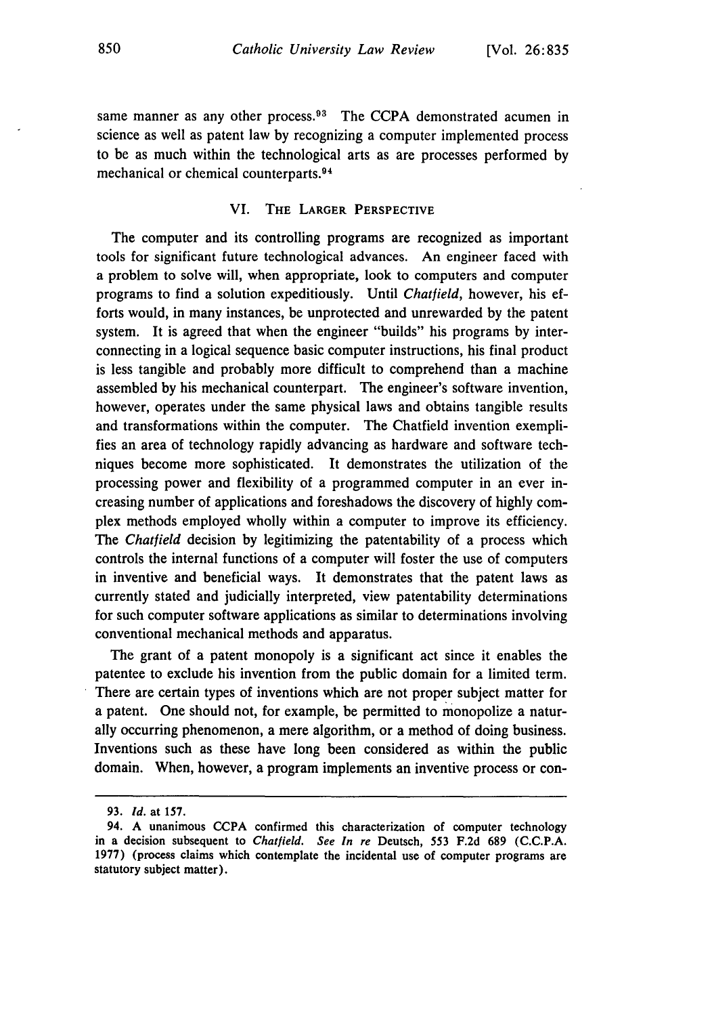same manner as any other process.<sup>93</sup> The CCPA demonstrated acumen in science as well as patent law **by** recognizing a computer implemented process to be as much within the technological arts as are processes performed by mechanical or chemical counterparts.<sup>94</sup>

#### VI. THE LARGER PERSPECTIVE

The computer and its controlling programs are recognized as important tools for significant future technological advances. An engineer faced with a problem to solve will, when appropriate, look to computers and computer programs to find a solution expeditiously. Until *Chatfield,* however, his efforts would, in many instances, be unprotected and unrewarded by the patent system. It is agreed that when the engineer "builds" his programs by interconnecting in a logical sequence basic computer instructions, his final product is less tangible and probably more difficult to comprehend than a machine assembled by his mechanical counterpart. The engineer's software invention, however, operates under the same physical laws and obtains tangible results and transformations within the computer. The Chatfield invention exemplifies an area of technology rapidly advancing as hardware and software techniques become more sophisticated. It demonstrates the utilization of the processing power and flexibility of a programmed computer in an ever increasing number of applications and foreshadows the discovery of highly complex methods employed wholly within a computer to improve its efficiency. *The Chatfield* decision by legitimizing the patentability of a process which controls the internal functions of a computer will foster the use of computers in inventive and beneficial ways. It demonstrates that the patent laws as currently stated and judicially interpreted, view patentability determinations for such computer software applications as similar to determinations involving conventional mechanical methods and apparatus.

The grant of a patent monopoly is a significant act since it enables the patentee to exclude his invention from the public domain for a limited term. There are certain types of inventions which are not proper subject matter for a patent. One should not, for example, be permitted to monopolize a naturally occurring phenomenon, a mere algorithm, or a method of doing business. Inventions such as these have long been considered as within the public domain. When, however, a program implements an inventive process or con-

**<sup>93.</sup>** *Id.* at 157.

<sup>94.</sup> A unanimous CCPA confirmed this characterization of computer technology in a decision subsequent to *Chatfield. See In re* Deutsch, 553 F.2d **689** (C.C.P.A. 1977) (process claims which contemplate the incidental use of computer programs are statutory subject matter).